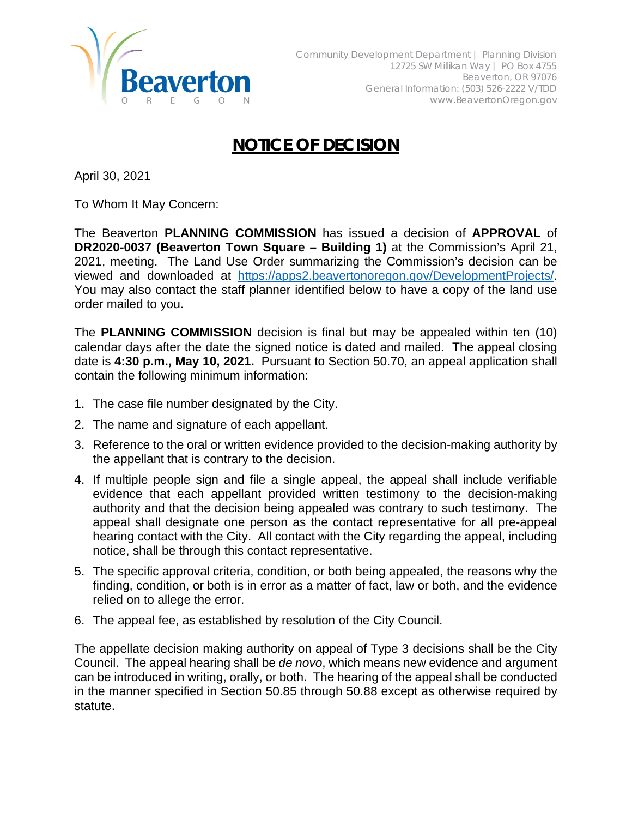

## **NOTICE OF DECISION**

April 30, 2021

To Whom It May Concern:

The Beaverton **PLANNING COMMISSION** has issued a decision of **APPROVAL** of **DR2020-0037 (Beaverton Town Square – Building 1)** at the Commission's April 21, 2021, meeting. The Land Use Order summarizing the Commission's decision can be viewed and downloaded at [https://apps2.beavertonoregon.gov/DevelopmentProjects/.](https://apps2.beavertonoregon.gov/DevelopmentProjects/) You may also contact the staff planner identified below to have a copy of the land use order mailed to you.

The **PLANNING COMMISSION** decision is final but may be appealed within ten (10) calendar days after the date the signed notice is dated and mailed. The appeal closing date is **4:30 p.m., May 10, 2021.** Pursuant to Section 50.70, an appeal application shall contain the following minimum information:

- 1. The case file number designated by the City.
- 2. The name and signature of each appellant.
- 3. Reference to the oral or written evidence provided to the decision-making authority by the appellant that is contrary to the decision.
- 4. If multiple people sign and file a single appeal, the appeal shall include verifiable evidence that each appellant provided written testimony to the decision-making authority and that the decision being appealed was contrary to such testimony. The appeal shall designate one person as the contact representative for all pre-appeal hearing contact with the City. All contact with the City regarding the appeal, including notice, shall be through this contact representative.
- 5. The specific approval criteria, condition, or both being appealed, the reasons why the finding, condition, or both is in error as a matter of fact, law or both, and the evidence relied on to allege the error.
- 6. The appeal fee, as established by resolution of the City Council.

The appellate decision making authority on appeal of Type 3 decisions shall be the City Council. The appeal hearing shall be *de novo*, which means new evidence and argument can be introduced in writing, orally, or both. The hearing of the appeal shall be conducted in the manner specified in Section 50.85 through 50.88 except as otherwise required by statute.